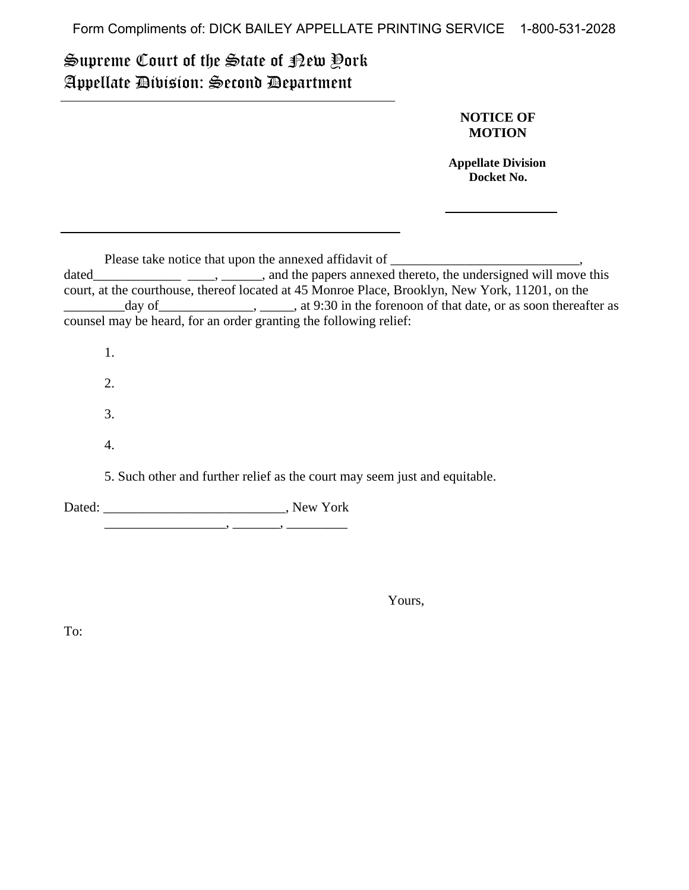Form Compliments of: DICK BAILEY APPELLATE PRINTING SERVICE 1-800-531-2028

## Supreme Court of the State of New York Appellate Division: Second Department

## **NOTICE OF MOTION**

 **Appellate Division Docket No.** 

Please take notice that upon the annexed affidavit of \_\_\_\_\_\_\_\_\_\_\_\_\_\_\_\_\_\_\_\_\_\_\_\_\_\_\_

dated\_\_\_\_\_\_\_\_\_\_\_\_\_\_\_\_\_\_\_\_\_\_\_\_, \_\_\_\_\_\_, and the papers annexed thereto, the undersigned will move this court, at the courthouse, thereof located at 45 Monroe Place, Brooklyn, New York, 11201, on the \_\_\_\_\_\_\_\_\_day of\_\_\_\_\_\_\_\_\_\_\_\_\_\_, \_\_\_\_\_, at 9:30 in the forenoon of that date, or as soon thereafter as counsel may be heard, for an order granting the following relief:

1.

2.

3.

4.

5. Such other and further relief as the court may seem just and equitable.

Dated: \_\_\_\_\_\_\_\_\_\_\_\_\_\_\_\_\_\_\_\_\_\_\_\_\_\_\_, New York

\_\_\_\_\_\_\_\_\_\_\_\_\_\_\_\_\_\_, \_\_\_\_\_\_\_, \_\_\_\_\_\_\_\_\_

Yours,

To: